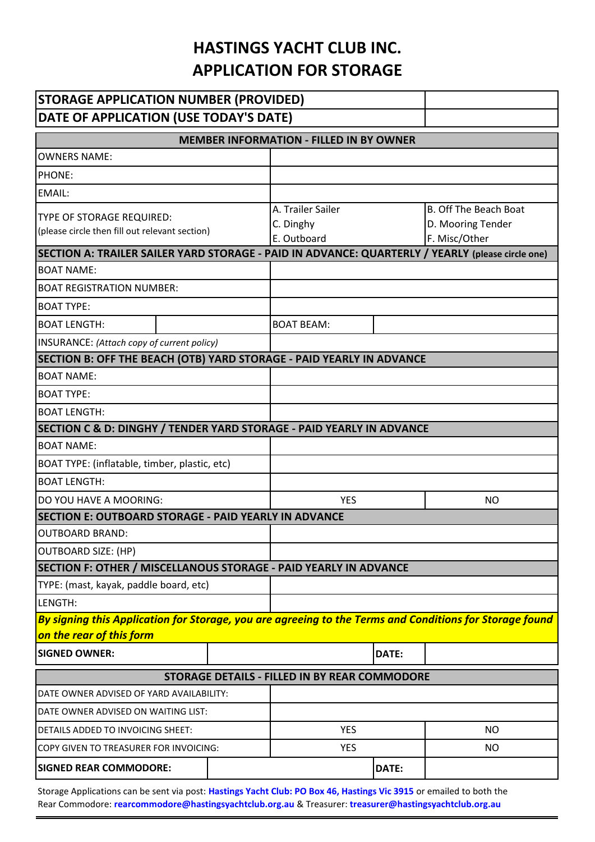## **HASTINGS YACHT CLUB INC. APPLICATION FOR STORAGE**

| <b>STORAGE APPLICATION NUMBER (PROVIDED)</b>                                                                          |  |                   |       |                              |
|-----------------------------------------------------------------------------------------------------------------------|--|-------------------|-------|------------------------------|
| DATE OF APPLICATION (USE TODAY'S DATE)                                                                                |  |                   |       |                              |
| <b>MEMBER INFORMATION - FILLED IN BY OWNER</b>                                                                        |  |                   |       |                              |
| <b>OWNERS NAME:</b>                                                                                                   |  |                   |       |                              |
| PHONE:                                                                                                                |  |                   |       |                              |
| <b>EMAIL:</b>                                                                                                         |  |                   |       |                              |
| TYPE OF STORAGE REQUIRED:<br>(please circle then fill out relevant section)                                           |  | A. Trailer Sailer |       | <b>B. Off The Beach Boat</b> |
|                                                                                                                       |  | C. Dinghy         |       | D. Mooring Tender            |
|                                                                                                                       |  | E. Outboard       |       | F. Misc/Other                |
| SECTION A: TRAILER SAILER YARD STORAGE - PAID IN ADVANCE: QUARTERLY / YEARLY (please circle one)<br><b>BOAT NAME:</b> |  |                   |       |                              |
| <b>BOAT REGISTRATION NUMBER:</b>                                                                                      |  |                   |       |                              |
| <b>BOAT TYPE:</b>                                                                                                     |  |                   |       |                              |
| <b>BOAT LENGTH:</b>                                                                                                   |  | <b>BOAT BEAM:</b> |       |                              |
| INSURANCE: (Attach copy of current policy)                                                                            |  |                   |       |                              |
| SECTION B: OFF THE BEACH (OTB) YARD STORAGE - PAID YEARLY IN ADVANCE                                                  |  |                   |       |                              |
| <b>BOAT NAME:</b>                                                                                                     |  |                   |       |                              |
| <b>BOAT TYPE:</b>                                                                                                     |  |                   |       |                              |
| <b>BOAT LENGTH:</b>                                                                                                   |  |                   |       |                              |
| SECTION C & D: DINGHY / TENDER YARD STORAGE - PAID YEARLY IN ADVANCE                                                  |  |                   |       |                              |
| <b>BOAT NAME:</b>                                                                                                     |  |                   |       |                              |
| BOAT TYPE: (inflatable, timber, plastic, etc)                                                                         |  |                   |       |                              |
| <b>BOAT LENGTH:</b>                                                                                                   |  |                   |       |                              |
| DO YOU HAVE A MOORING:                                                                                                |  | <b>YES</b>        |       | <b>NO</b>                    |
| SECTION E: OUTBOARD STORAGE - PAID YEARLY IN ADVANCE                                                                  |  |                   |       |                              |
| <b>OUTBOARD BRAND:</b>                                                                                                |  |                   |       |                              |
| <b>OUTBOARD SIZE: (HP)</b>                                                                                            |  |                   |       |                              |
| SECTION F: OTHER / MISCELLANOUS STORAGE - PAID YEARLY IN ADVANCE                                                      |  |                   |       |                              |
| TYPE: (mast, kayak, paddle board, etc)                                                                                |  |                   |       |                              |
| LENGTH:                                                                                                               |  |                   |       |                              |
| By signing this Application for Storage, you are agreeing to the Terms and Conditions for Storage found               |  |                   |       |                              |
| on the rear of this form                                                                                              |  |                   |       |                              |
| <b>SIGNED OWNER:</b>                                                                                                  |  |                   | DATE: |                              |
| STORAGE DETAILS - FILLED IN BY REAR COMMODORE                                                                         |  |                   |       |                              |
| DATE OWNER ADVISED OF YARD AVAILABILITY:                                                                              |  |                   |       |                              |
| DATE OWNER ADVISED ON WAITING LIST:                                                                                   |  |                   |       |                              |
| DETAILS ADDED TO INVOICING SHEET:                                                                                     |  | <b>YES</b>        |       | <b>NO</b>                    |
| COPY GIVEN TO TREASURER FOR INVOICING:                                                                                |  | <b>YES</b>        |       | <b>NO</b>                    |
| <b>SIGNED REAR COMMODORE:</b>                                                                                         |  |                   | DATE: |                              |

Storage Applications can be sent via post: **Hastings Yacht Club: PO Box 46, Hastings Vic 3915** or emailed to both the Rear Commodore: **rearcommodore@hastingsyachtclub.org.au** & Treasurer: **treasurer@hastingsyachtclub.org.au**